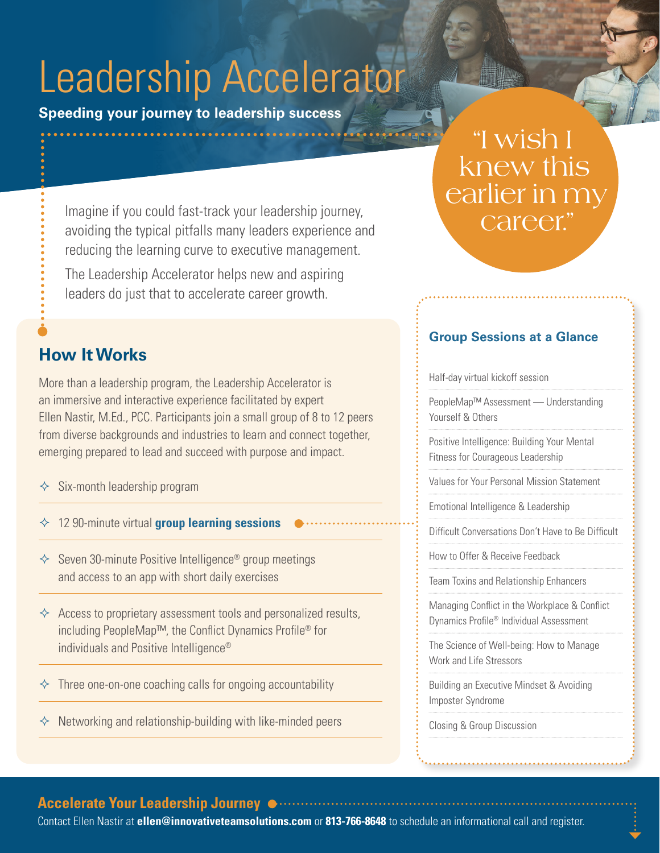# Leadership Accelerator

**Speeding your journey to leadership success**

## "I wish I knew this earlier in my career."

Imagine if you could fast-track your leadership journey, avoiding the typical pitfalls many leaders experience and reducing the learning curve to executive management.

The Leadership Accelerator helps new and aspiring leaders do just that to accelerate career growth.

## **How It Works**

More than a leadership program, the Leadership Accelerator is an immersive and interactive experience facilitated by expert Ellen Nastir, M.Ed., PCC. Participants join a small group of 8 to 12 peers from diverse backgrounds and industries to learn and connect together, emerging prepared to lead and succeed with purpose and impact.

- $\diamond$  Six-month leadership program
- 12 90-minute virtual **group learning sessions**
- $\Diamond$  Seven 30-minute Positive Intelligence<sup>®</sup> group meetings and access to an app with short daily exercises
- $\Diamond$  Access to proprietary assessment tools and personalized results, including PeopleMap™, the Conflict Dynamics Profile® for individuals and Positive Intelligence®
- $\Diamond$  Three one-on-one coaching calls for ongoing accountability
- $\Diamond$  Networking and relationship-building with like-minded peers

#### Half-day virtual kickoff session

PeopleMap™ Assessment — Understanding Yourself & Others

**Group Sessions at a Glance**

Positive Intelligence: Building Your Mental Fitness for Courageous Leadership

Values for Your Personal Mission Statement

Emotional Intelligence & Leadership

Difficult Conversations Don't Have to Be Difficult

How to Offer & Receive Feedback

Team Toxins and Relationship Enhancers

Managing Conflict in the Workplace & Conflict Dynamics Profile® Individual Assessment

The Science of Well-being: How to Manage Work and Life Stressors

Building an Executive Mindset & Avoiding Imposter Syndrome

Closing & Group Discussion

#### **Accelerate Your Leadership Journey**

Contact Ellen Nastir at **ellen@innovativeteamsolutions.com** or **813-766-8648** to schedule an informational call and register.